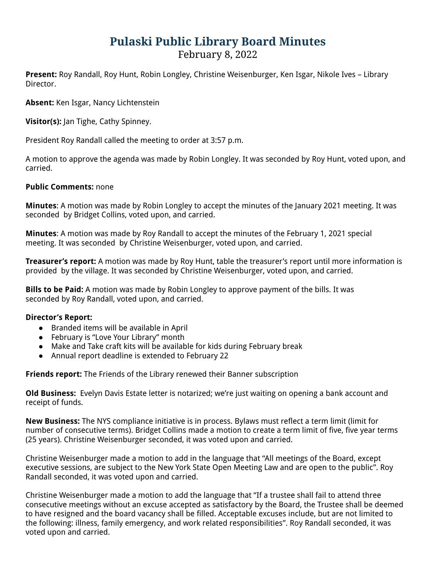## **Pulaski Public Library Board Minutes**

February 8, 2022

**Present:** Roy Randall, Roy Hunt, Robin Longley, Christine Weisenburger, Ken Isgar, Nikole Ives – Library Director.

**Absent:** Ken Isgar, Nancy Lichtenstein

**Visitor(s):** Jan Tighe, Cathy Spinney.

President Roy Randall called the meeting to order at 3:57 p.m.

A motion to approve the agenda was made by Robin Longley. It was seconded by Roy Hunt, voted upon, and carried.

## **Public Comments:** none

**Minutes**: A motion was made by Robin Longley to accept the minutes of the January 2021 meeting. It was seconded by Bridget Collins, voted upon, and carried.

**Minutes**: A motion was made by Roy Randall to accept the minutes of the February 1, 2021 special meeting. It was seconded by Christine Weisenburger, voted upon, and carried.

**Treasurer's report:** A motion was made by Roy Hunt, table the treasurer's report until more information is provided by the village. It was seconded by Christine Weisenburger, voted upon, and carried.

**Bills to be Paid:** A motion was made by Robin Longley to approve payment of the bills. It was seconded by Roy Randall, voted upon, and carried.

## **Director's Report:**

- Branded items will be available in April
- February is "Love Your Library" month
- Make and Take craft kits will be available for kids during February break
- Annual report deadline is extended to February 22

**Friends report:** The Friends of the Library renewed their Banner subscription

**Old Business:** Evelyn Davis Estate letter is notarized; we're just waiting on opening a bank account and receipt of funds.

**New Business:** The NYS compliance initiative is in process. Bylaws must reflect a term limit (limit for number of consecutive terms). Bridget Collins made a motion to create a term limit of five, five year terms (25 years). Christine Weisenburger seconded, it was voted upon and carried.

Christine Weisenburger made a motion to add in the language that "All meetings of the Board, except executive sessions, are subject to the New York State Open Meeting Law and are open to the public". Roy Randall seconded, it was voted upon and carried.

Christine Weisenburger made a motion to add the language that "If a trustee shall fail to attend three consecutive meetings without an excuse accepted as satisfactory by the Board, the Trustee shall be deemed to have resigned and the board vacancy shall be filled. Acceptable excuses include, but are not limited to the following: illness, family emergency, and work related responsibilities". Roy Randall seconded, it was voted upon and carried.